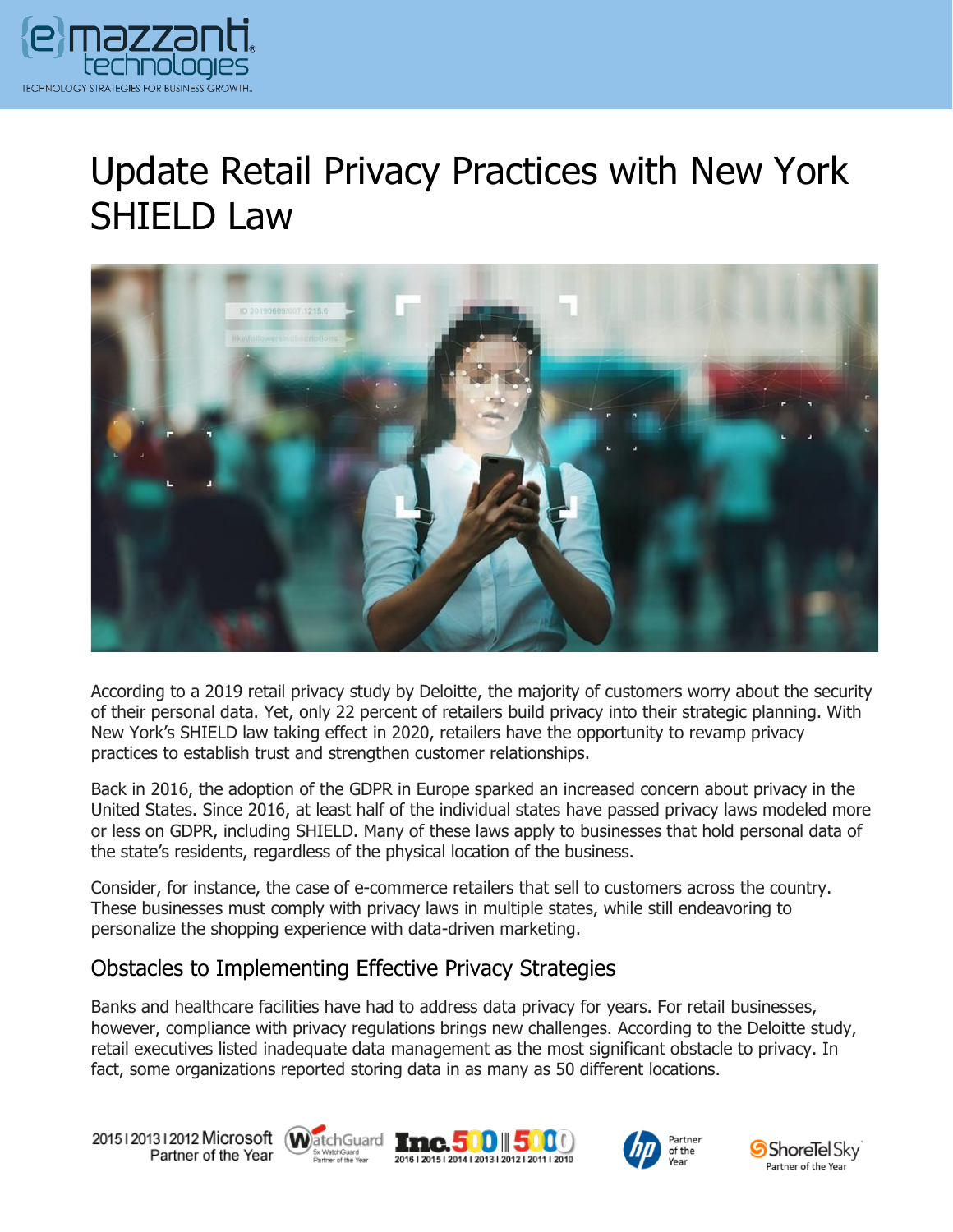

## Update Retail Privacy Practices with New York SHIELD Law



According to a 2019 retail privacy study by Deloitte, the majority of customers worry about the security of their personal data. Yet, only 22 percent of retailers build privacy into their strategic planning. With New York's SHIELD law taking effect in 2020, retailers have the opportunity to revamp privacy practices to establish trust and strengthen customer relationships.

Back in 2016, the adoption of the GDPR in Europe sparked an increased concern about privacy in the United States. Since 2016, at least half of the individual states have passed privacy laws modeled more or less on GDPR, including SHIELD. Many of these laws apply to businesses that hold personal data of the state's residents, regardless of the physical location of the business.

Consider, for instance, the case of e-commerce retailers that sell to customers across the country. These businesses must comply with privacy laws in multiple states, while still endeavoring to personalize the shopping experience with data-driven marketing.

## Obstacles to Implementing Effective Privacy Strategies

Banks and healthcare facilities have had to address data privacy for years. For retail businesses, however, compliance with privacy regulations brings new challenges. According to the Deloitte study, retail executives listed inadequate data management as the most significant obstacle to privacy. In fact, some organizations reported storing data in as many as 50 different locations.

20151201312012 Microsoft WatchGuard Tmc. 500 500 Partner of the Year







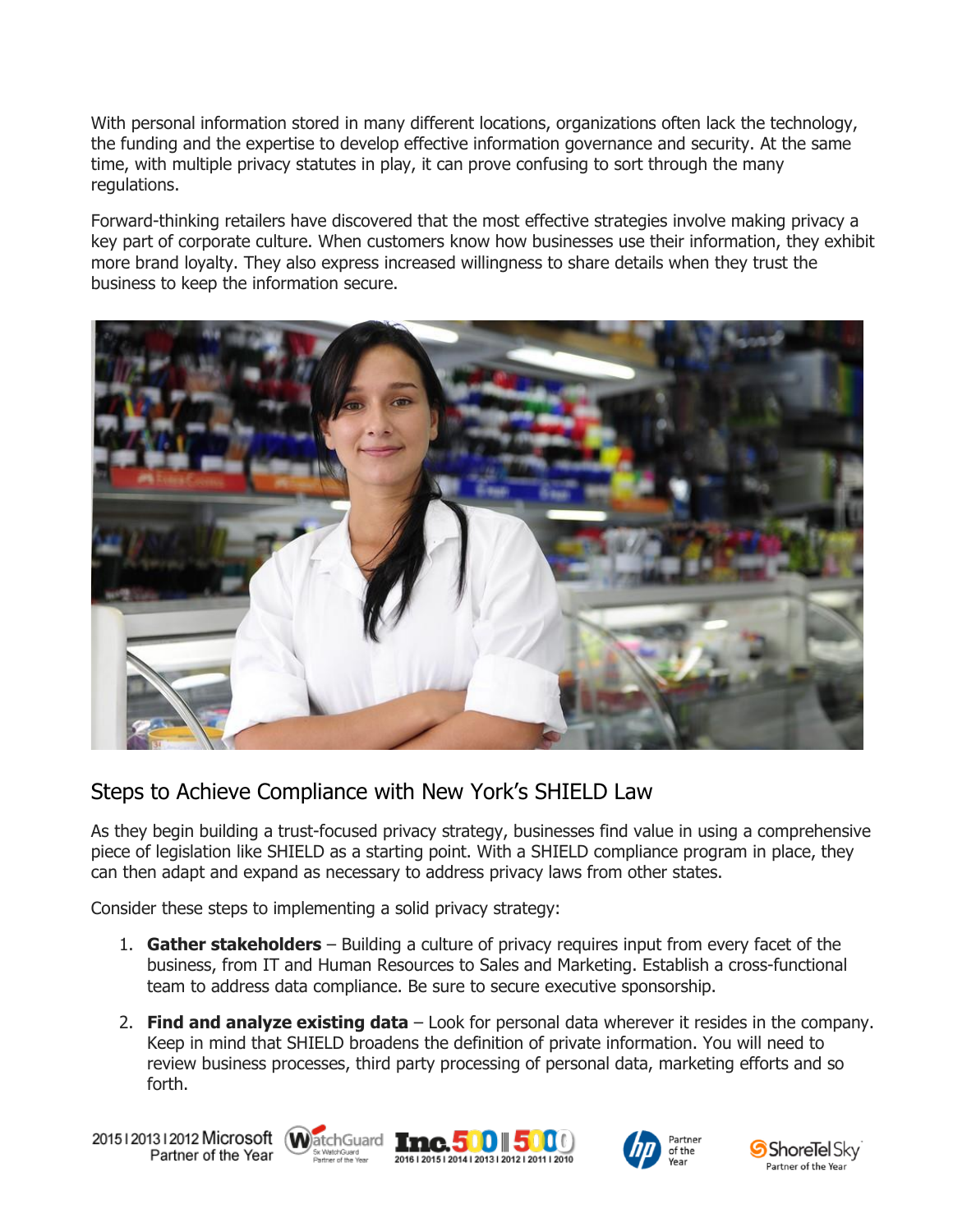With personal information stored in many different locations, organizations often lack the technology, the funding and the expertise to develop effective information governance and security. At the same time, with multiple privacy statutes in play, it can prove confusing to sort through the many regulations.

Forward-thinking retailers have discovered that the most effective strategies involve making privacy a key part of corporate culture. When customers know how businesses use their information, they exhibit more brand loyalty. They also express increased willingness to share details when they trust the business to keep the information secure.



## Steps to Achieve Compliance with New York's SHIELD Law

As they begin building a trust-focused privacy strategy, businesses find value in using a comprehensive piece of legislation like SHIELD as a starting point. With a SHIELD compliance program in place, they can then adapt and expand as necessary to address privacy laws from other states.

Consider these steps to implementing a solid privacy strategy:

- 1. **Gather stakeholders** Building a culture of privacy requires input from every facet of the business, from IT and Human Resources to Sales and Marketing. Establish a cross-functional team to address data compliance. Be sure to secure executive sponsorship.
- 2. **Find and analyze existing data** Look for personal data wherever it resides in the company. Keep in mind that SHIELD broadens the definition of private information. You will need to review business processes, third party processing of personal data, marketing efforts and so forth.

20151201312012 Microsoft WatchGuard Tnc. 500 500 Partner of the Year